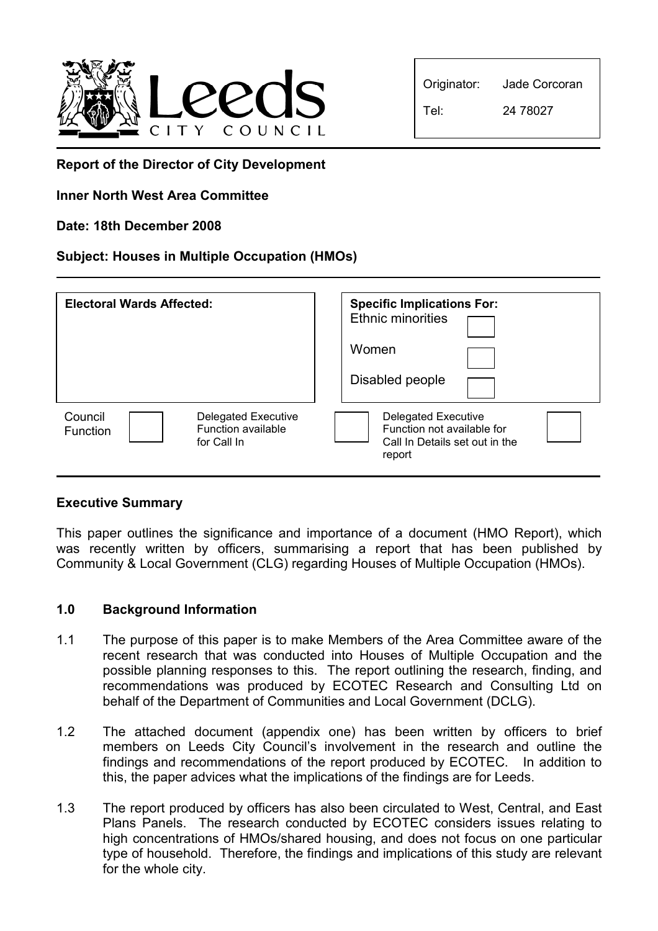

| Originator: | Jade Corcoran |  |  |
|-------------|---------------|--|--|
| Tel:        | 24 78027      |  |  |

Report of the Director of City Development

# Inner North West Area Committee

## Date: 18th December 2008

## Subject: Houses in Multiple Occupation (HMOs)

| <b>Electoral Wards Affected:</b> |                                                                 | <b>Specific Implications For:</b><br><b>Ethnic minorities</b><br>Women<br>Disabled people |                                                                                                      |  |
|----------------------------------|-----------------------------------------------------------------|-------------------------------------------------------------------------------------------|------------------------------------------------------------------------------------------------------|--|
| Council<br><b>Function</b>       | <b>Delegated Executive</b><br>Function available<br>for Call In |                                                                                           | <b>Delegated Executive</b><br>Function not available for<br>Call In Details set out in the<br>report |  |

#### Executive Summary

This paper outlines the significance and importance of a document (HMO Report), which was recently written by officers, summarising a report that has been published by Community & Local Government (CLG) regarding Houses of Multiple Occupation (HMOs).

#### 1.0 Background Information

- 1.1 The purpose of this paper is to make Members of the Area Committee aware of the recent research that was conducted into Houses of Multiple Occupation and the possible planning responses to this. The report outlining the research, finding, and recommendations was produced by ECOTEC Research and Consulting Ltd on behalf of the Department of Communities and Local Government (DCLG).
- 1.2 The attached document (appendix one) has been written by officers to brief members on Leeds City Council's involvement in the research and outline the findings and recommendations of the report produced by ECOTEC. In addition to this, the paper advices what the implications of the findings are for Leeds.
- 1.3 The report produced by officers has also been circulated to West, Central, and East Plans Panels. The research conducted by ECOTEC considers issues relating to high concentrations of HMOs/shared housing, and does not focus on one particular type of household. Therefore, the findings and implications of this study are relevant for the whole city.